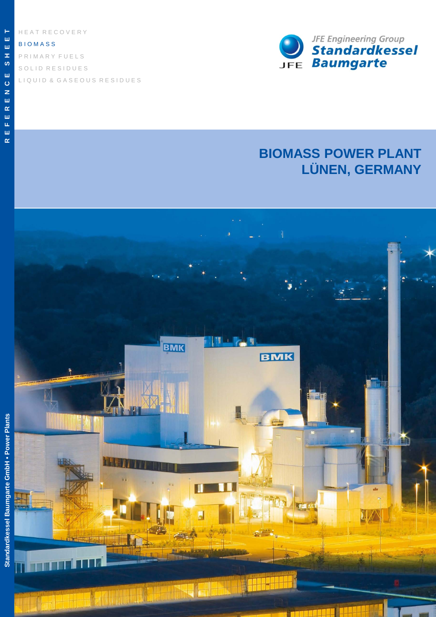H E A T R E C O V E R Y

### B I O M A S S

S O L I D R E S I D U E S P R I M A R Y F U E L S L I Q U I D & G A S E O U S R E S I D U E S



# **BIOMASS POWER PLANT LÜNEN, GERMANY**



**E**ш

z,

**T**